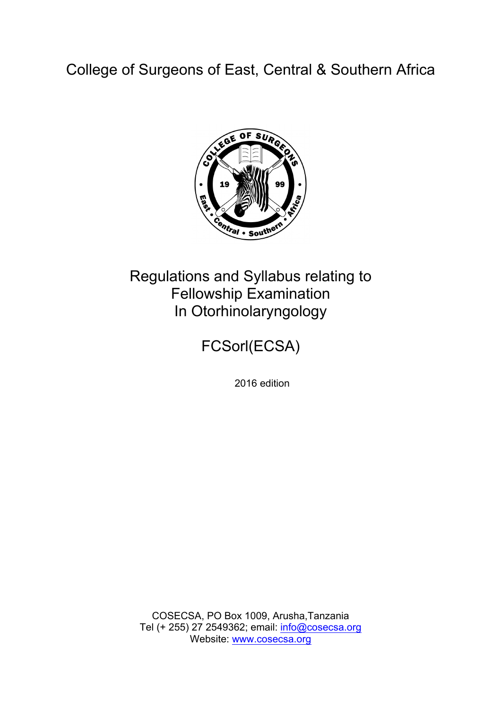College of Surgeons of East, Central & Southern Africa



# Regulations and Syllabus relating to Fellowship Examination In Otorhinolaryngology

FCSorl(ECSA)

2016 edition

COSECSA, PO Box 1009, Arusha,Tanzania Tel (+ 255) 27 2549362; email: info@cosecsa.org Website: www.cosecsa.org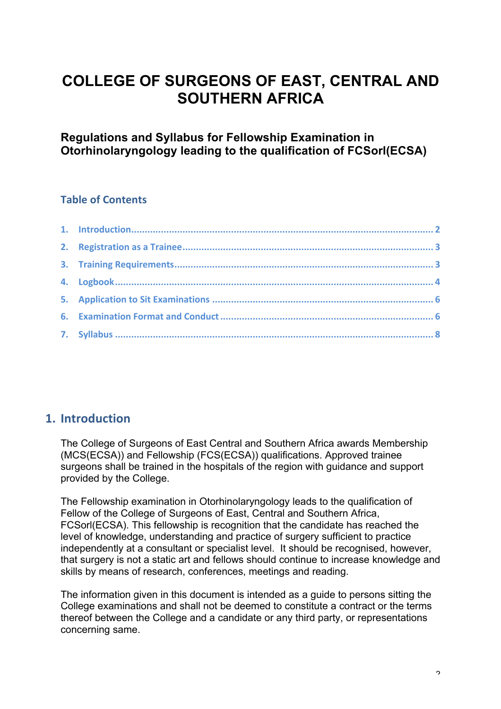# **COLLEGE OF SURGEONS OF EAST, CENTRAL AND SOUTHERN AFRICA**

**Regulations and Syllabus for Fellowship Examination in Otorhinolaryngology leading to the qualification of FCSorl(ECSA)**

## **Table of Contents**

# **1. Introduction**

The College of Surgeons of East Central and Southern Africa awards Membership (MCS(ECSA)) and Fellowship (FCS(ECSA)) qualifications. Approved trainee surgeons shall be trained in the hospitals of the region with guidance and support provided by the College.

The Fellowship examination in Otorhinolaryngology leads to the qualification of Fellow of the College of Surgeons of East, Central and Southern Africa, FCSorl(ECSA). This fellowship is recognition that the candidate has reached the level of knowledge, understanding and practice of surgery sufficient to practice independently at a consultant or specialist level. It should be recognised, however, that surgery is not a static art and fellows should continue to increase knowledge and skills by means of research, conferences, meetings and reading.

The information given in this document is intended as a guide to persons sitting the College examinations and shall not be deemed to constitute a contract or the terms thereof between the College and a candidate or any third party, or representations concerning same.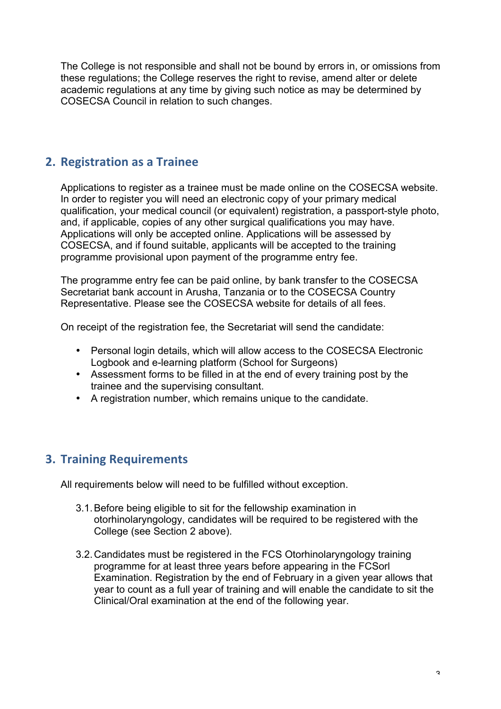The College is not responsible and shall not be bound by errors in, or omissions from these regulations; the College reserves the right to revise, amend alter or delete academic regulations at any time by giving such notice as may be determined by COSECSA Council in relation to such changes.

# **2. Registration as a Trainee**

Applications to register as a trainee must be made online on the COSECSA website. In order to register you will need an electronic copy of your primary medical qualification, your medical council (or equivalent) registration, a passport-style photo, and, if applicable, copies of any other surgical qualifications you may have. Applications will only be accepted online. Applications will be assessed by COSECSA, and if found suitable, applicants will be accepted to the training programme provisional upon payment of the programme entry fee.

The programme entry fee can be paid online, by bank transfer to the COSECSA Secretariat bank account in Arusha, Tanzania or to the COSECSA Country Representative. Please see the COSECSA website for details of all fees.

On receipt of the registration fee, the Secretariat will send the candidate:

- Personal login details, which will allow access to the COSECSA Electronic Logbook and e-learning platform (School for Surgeons)
- Assessment forms to be filled in at the end of every training post by the trainee and the supervising consultant.
- A registration number, which remains unique to the candidate.

# **3. Training Requirements**

All requirements below will need to be fulfilled without exception.

- 3.1.Before being eligible to sit for the fellowship examination in otorhinolaryngology, candidates will be required to be registered with the College (see Section 2 above).
- 3.2.Candidates must be registered in the FCS Otorhinolaryngology training programme for at least three years before appearing in the FCSorl Examination. Registration by the end of February in a given year allows that year to count as a full year of training and will enable the candidate to sit the Clinical/Oral examination at the end of the following year.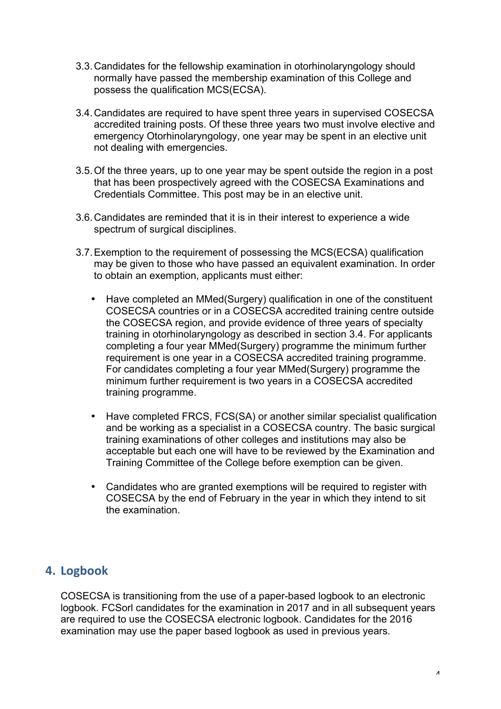- 3.3.Candidates for the fellowship examination in otorhinolaryngology should normally have passed the membership examination of this College and possess the qualification MCS(ECSA).
- 3.4.Candidates are required to have spent three years in supervised COSECSA accredited training posts. Of these three years two must involve elective and emergency Otorhinolaryngology, one year may be spent in an elective unit not dealing with emergencies.
- 3.5.Of the three years, up to one year may be spent outside the region in a post that has been prospectively agreed with the COSECSA Examinations and Credentials Committee. This post may be in an elective unit.
- 3.6.Candidates are reminded that it is in their interest to experience a wide spectrum of surgical disciplines.
- 3.7.Exemption to the requirement of possessing the MCS(ECSA) qualification may be given to those who have passed an equivalent examination. In order to obtain an exemption, applicants must either:
	- Have completed an MMed(Surgery) qualification in one of the constituent COSECSA countries or in a COSECSA accredited training centre outside the COSECSA region, and provide evidence of three years of specialty training in otorhinolaryngology as described in section 3.4. For applicants completing a four year MMed(Surgery) programme the minimum further requirement is one year in a COSECSA accredited training programme. For candidates completing a four year MMed(Surgery) programme the minimum further requirement is two years in a COSECSA accredited training programme.
	- Have completed FRCS, FCS(SA) or another similar specialist qualification and be working as a specialist in a COSECSA country. The basic surgical training examinations of other colleges and institutions may also be acceptable but each one will have to be reviewed by the Examination and Training Committee of the College before exemption can be given.
	- Candidates who are granted exemptions will be required to register with COSECSA by the end of February in the year in which they intend to sit the examination.

# **4. Logbook**

COSECSA is transitioning from the use of a paper-based logbook to an electronic logbook. FCSorl candidates for the examination in 2017 and in all subsequent years are required to use the COSECSA electronic logbook. Candidates for the 2016 examination may use the paper based logbook as used in previous years.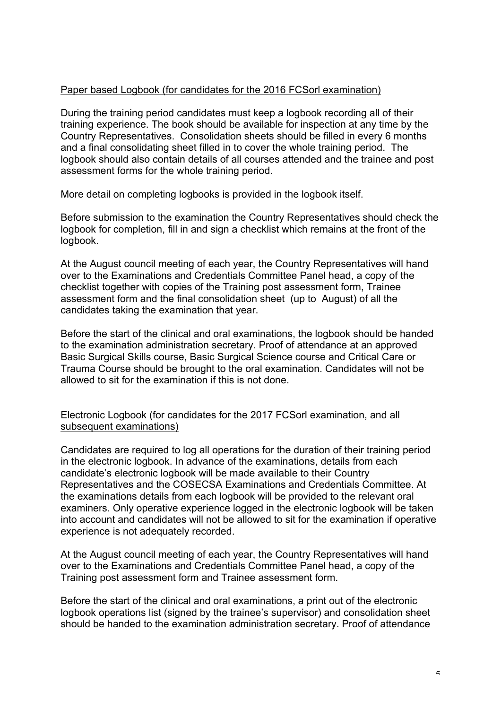#### Paper based Logbook (for candidates for the 2016 FCSorl examination)

During the training period candidates must keep a logbook recording all of their training experience. The book should be available for inspection at any time by the Country Representatives. Consolidation sheets should be filled in every 6 months and a final consolidating sheet filled in to cover the whole training period. The logbook should also contain details of all courses attended and the trainee and post assessment forms for the whole training period.

More detail on completing logbooks is provided in the logbook itself.

Before submission to the examination the Country Representatives should check the logbook for completion, fill in and sign a checklist which remains at the front of the logbook.

At the August council meeting of each year, the Country Representatives will hand over to the Examinations and Credentials Committee Panel head, a copy of the checklist together with copies of the Training post assessment form, Trainee assessment form and the final consolidation sheet (up to August) of all the candidates taking the examination that year.

Before the start of the clinical and oral examinations, the logbook should be handed to the examination administration secretary. Proof of attendance at an approved Basic Surgical Skills course, Basic Surgical Science course and Critical Care or Trauma Course should be brought to the oral examination. Candidates will not be allowed to sit for the examination if this is not done.

#### Electronic Logbook (for candidates for the 2017 FCSorl examination, and all subsequent examinations)

Candidates are required to log all operations for the duration of their training period in the electronic logbook. In advance of the examinations, details from each candidate's electronic logbook will be made available to their Country Representatives and the COSECSA Examinations and Credentials Committee. At the examinations details from each logbook will be provided to the relevant oral examiners. Only operative experience logged in the electronic logbook will be taken into account and candidates will not be allowed to sit for the examination if operative experience is not adequately recorded.

At the August council meeting of each year, the Country Representatives will hand over to the Examinations and Credentials Committee Panel head, a copy of the Training post assessment form and Trainee assessment form.

Before the start of the clinical and oral examinations, a print out of the electronic logbook operations list (signed by the trainee's supervisor) and consolidation sheet should be handed to the examination administration secretary. Proof of attendance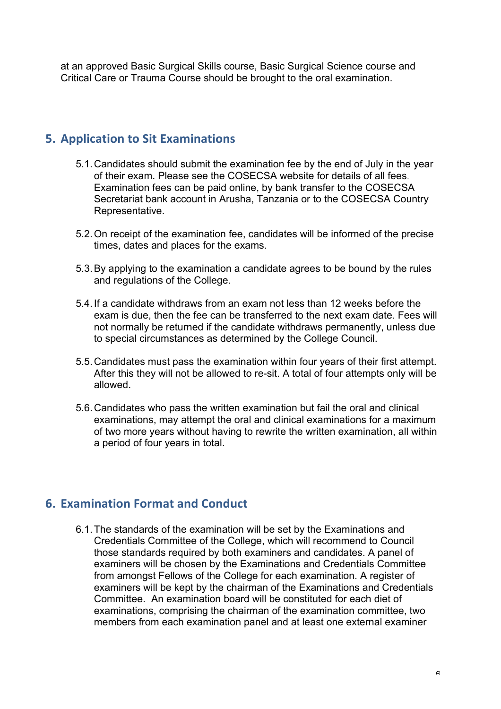at an approved Basic Surgical Skills course, Basic Surgical Science course and Critical Care or Trauma Course should be brought to the oral examination.

# **5. Application to Sit Examinations**

- 5.1.Candidates should submit the examination fee by the end of July in the year of their exam. Please see the COSECSA website for details of all fees. Examination fees can be paid online, by bank transfer to the COSECSA Secretariat bank account in Arusha, Tanzania or to the COSECSA Country Representative.
- 5.2.On receipt of the examination fee, candidates will be informed of the precise times, dates and places for the exams.
- 5.3.By applying to the examination a candidate agrees to be bound by the rules and regulations of the College.
- 5.4.If a candidate withdraws from an exam not less than 12 weeks before the exam is due, then the fee can be transferred to the next exam date. Fees will not normally be returned if the candidate withdraws permanently, unless due to special circumstances as determined by the College Council.
- 5.5.Candidates must pass the examination within four years of their first attempt. After this they will not be allowed to re-sit. A total of four attempts only will be allowed.
- 5.6.Candidates who pass the written examination but fail the oral and clinical examinations, may attempt the oral and clinical examinations for a maximum of two more years without having to rewrite the written examination, all within a period of four years in total.

# **6. Examination Format and Conduct**

6.1.The standards of the examination will be set by the Examinations and Credentials Committee of the College, which will recommend to Council those standards required by both examiners and candidates. A panel of examiners will be chosen by the Examinations and Credentials Committee from amongst Fellows of the College for each examination. A register of examiners will be kept by the chairman of the Examinations and Credentials Committee. An examination board will be constituted for each diet of examinations, comprising the chairman of the examination committee, two members from each examination panel and at least one external examiner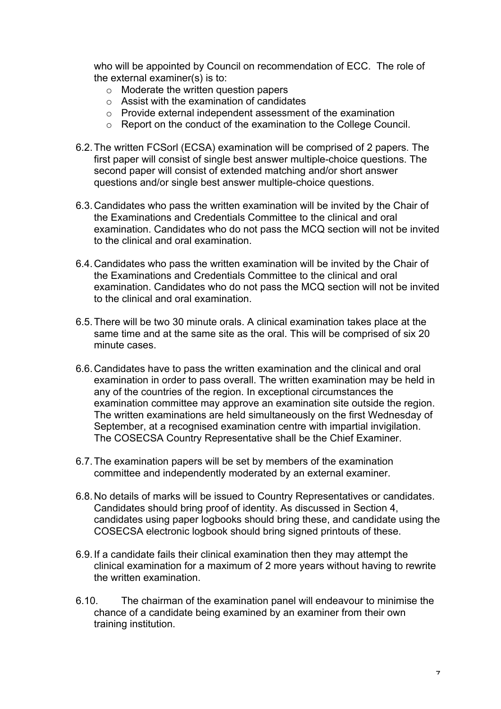who will be appointed by Council on recommendation of ECC. The role of the external examiner(s) is to:

- o Moderate the written question papers
- o Assist with the examination of candidates
- o Provide external independent assessment of the examination
- o Report on the conduct of the examination to the College Council.
- 6.2.The written FCSorl (ECSA) examination will be comprised of 2 papers. The first paper will consist of single best answer multiple-choice questions. The second paper will consist of extended matching and/or short answer questions and/or single best answer multiple-choice questions.
- 6.3.Candidates who pass the written examination will be invited by the Chair of the Examinations and Credentials Committee to the clinical and oral examination. Candidates who do not pass the MCQ section will not be invited to the clinical and oral examination.
- 6.4.Candidates who pass the written examination will be invited by the Chair of the Examinations and Credentials Committee to the clinical and oral examination. Candidates who do not pass the MCQ section will not be invited to the clinical and oral examination.
- 6.5.There will be two 30 minute orals. A clinical examination takes place at the same time and at the same site as the oral. This will be comprised of six 20 minute cases.
- 6.6.Candidates have to pass the written examination and the clinical and oral examination in order to pass overall. The written examination may be held in any of the countries of the region. In exceptional circumstances the examination committee may approve an examination site outside the region. The written examinations are held simultaneously on the first Wednesday of September, at a recognised examination centre with impartial invigilation. The COSECSA Country Representative shall be the Chief Examiner.
- 6.7.The examination papers will be set by members of the examination committee and independently moderated by an external examiner.
- 6.8.No details of marks will be issued to Country Representatives or candidates. Candidates should bring proof of identity. As discussed in Section 4, candidates using paper logbooks should bring these, and candidate using the COSECSA electronic logbook should bring signed printouts of these.
- 6.9.If a candidate fails their clinical examination then they may attempt the clinical examination for a maximum of 2 more years without having to rewrite the written examination.
- 6.10. The chairman of the examination panel will endeavour to minimise the chance of a candidate being examined by an examiner from their own training institution.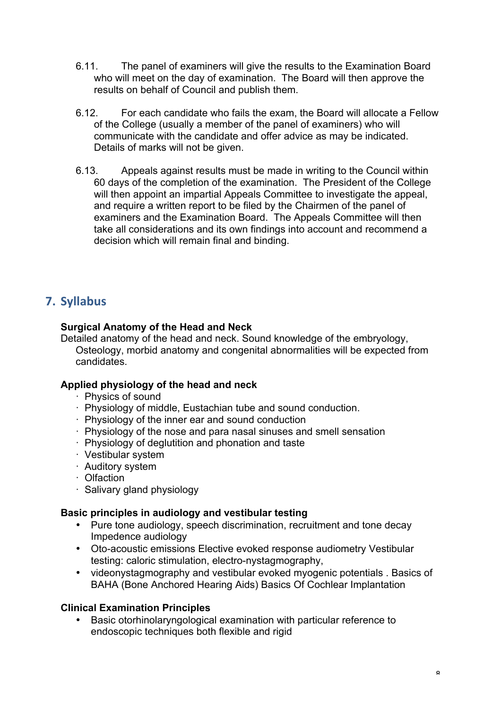- 6.11. The panel of examiners will give the results to the Examination Board who will meet on the day of examination. The Board will then approve the results on behalf of Council and publish them.
- 6.12. For each candidate who fails the exam, the Board will allocate a Fellow of the College (usually a member of the panel of examiners) who will communicate with the candidate and offer advice as may be indicated. Details of marks will not be given.
- 6.13. Appeals against results must be made in writing to the Council within 60 days of the completion of the examination. The President of the College will then appoint an impartial Appeals Committee to investigate the appeal, and require a written report to be filed by the Chairmen of the panel of examiners and the Examination Board. The Appeals Committee will then take all considerations and its own findings into account and recommend a decision which will remain final and binding.

# **7. Syllabus**

## **Surgical Anatomy of the Head and Neck**

Detailed anatomy of the head and neck. Sound knowledge of the embryology, Osteology, morbid anatomy and congenital abnormalities will be expected from candidates.

## **Applied physiology of the head and neck**

- · Physics of sound
- · Physiology of middle, Eustachian tube and sound conduction.
- · Physiology of the inner ear and sound conduction
- · Physiology of the nose and para nasal sinuses and smell sensation
- · Physiology of deglutition and phonation and taste
- · Vestibular system
- · Auditory system
- · Olfaction
- · Salivary gland physiology

## **Basic principles in audiology and vestibular testing**

- Pure tone audiology, speech discrimination, recruitment and tone decay Impedence audiology
- Oto-acoustic emissions Elective evoked response audiometry Vestibular testing: caloric stimulation, electro-nystagmography,
- videonystagmography and vestibular evoked myogenic potentials . Basics of BAHA (Bone Anchored Hearing Aids) Basics Of Cochlear Implantation

## **Clinical Examination Principles**

• Basic otorhinolaryngological examination with particular reference to endoscopic techniques both flexible and rigid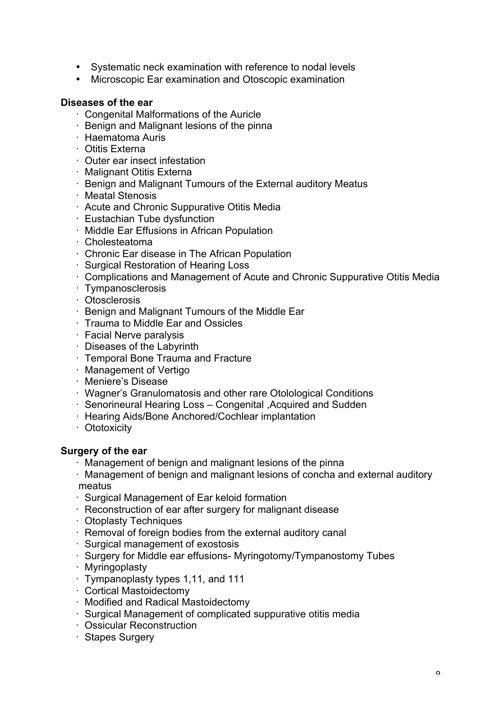- Systematic neck examination with reference to nodal levels
- Microscopic Ear examination and Otoscopic examination

#### **Diseases of the ear**

- · Congenital Malformations of the Auricle
- · Benign and Malignant lesions of the pinna
- · Haematoma Auris
- · Otitis Externa
- · Outer ear insect infestation
- · Malignant Otitis Externa
- · Benign and Malignant Tumours of the External auditory Meatus
- · Meatal Stenosis
- · Acute and Chronic Suppurative Otitis Media
- · Eustachian Tube dysfunction
- · Middle Ear Effusions in African Population
- · Cholesteatoma
- · Chronic Ear disease in The African Population
- · Surgical Restoration of Hearing Loss
- · Complications and Management of Acute and Chronic Suppurative Otitis Media
- · Tympanosclerosis
- · Otosclerosis
- · Benign and Malignant Tumours of the Middle Ear
- · Trauma to Middle Ear and Ossicles
- · Facial Nerve paralysis
- · Diseases of the Labyrinth
- · Temporal Bone Trauma and Fracture
- · Management of Vertigo
- · Meniere's Disease
- · Wagner's Granulomatosis and other rare Otolological Conditions
- · Senorineural Hearing Loss Congenital ,Acquired and Sudden
- · Hearing Aids/Bone Anchored/Cochlear implantation
- · Ototoxicity

## **Surgery of the ear**

- · Management of benign and malignant lesions of the pinna
- · Management of benign and malignant lesions of concha and external auditory meatus
- · Surgical Management of Ear keloid formation
- · Reconstruction of ear after surgery for malignant disease
- · Otoplasty Techniques
- · Removal of foreign bodies from the external auditory canal
- · Surgical management of exostosis
- · Surgery for Middle ear effusions- Myringotomy/Tympanostomy Tubes
- · Myringoplasty
- · Tympanoplasty types 1,11, and 111
- · Cortical Mastoidectomy
- · Modified and Radical Mastoidectomy
- · Surgical Management of complicated suppurative otitis media
- · Ossicular Reconstruction
- · Stapes Surgery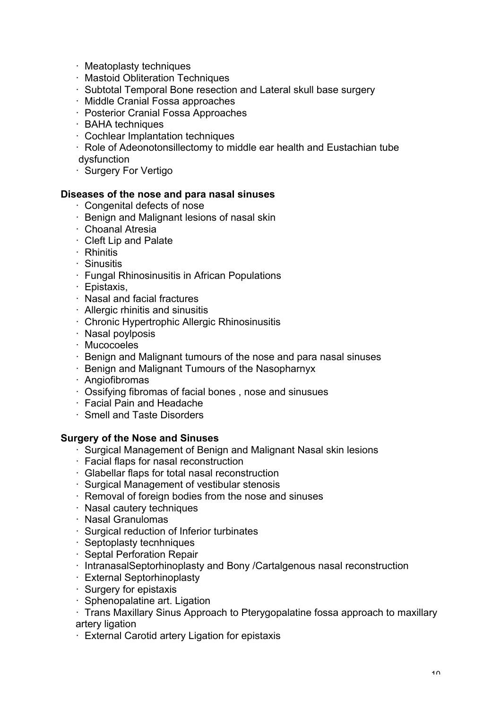- · Meatoplasty techniques
- · Mastoid Obliteration Techniques
- · Subtotal Temporal Bone resection and Lateral skull base surgery
- · Middle Cranial Fossa approaches
- · Posterior Cranial Fossa Approaches
- · BAHA techniques
- · Cochlear Implantation techniques
- · Role of Adeonotonsillectomy to middle ear health and Eustachian tube dysfunction
- · Surgery For Vertigo

#### **Diseases of the nose and para nasal sinuses**

- · Congenital defects of nose
- · Benign and Malignant lesions of nasal skin
- · Choanal Atresia
- · Cleft Lip and Palate
- · Rhinitis
- · Sinusitis
- · Fungal Rhinosinusitis in African Populations
- · Epistaxis,
- · Nasal and facial fractures
- · Allergic rhinitis and sinusitis
- · Chronic Hypertrophic Allergic Rhinosinusitis
- · Nasal poylposis
- · Mucocoeles
- · Benign and Malignant tumours of the nose and para nasal sinuses
- · Benign and Malignant Tumours of the Nasopharnyx
- · Angiofibromas
- · Ossifying fibromas of facial bones , nose and sinusues
- · Facial Pain and Headache
- · Smell and Taste Disorders

#### **Surgery of the Nose and Sinuses**

- · Surgical Management of Benign and Malignant Nasal skin lesions
- · Facial flaps for nasal reconstruction
- · Glabellar flaps for total nasal reconstruction
- · Surgical Management of vestibular stenosis
- · Removal of foreign bodies from the nose and sinuses
- · Nasal cautery techniques
- · Nasal Granulomas
- · Surgical reduction of Inferior turbinates
- · Septoplasty tecnhniques
- · Septal Perforation Repair
- · IntranasalSeptorhinoplasty and Bony /Cartalgenous nasal reconstruction
- · External Septorhinoplasty
- · Surgery for epistaxis
- · Sphenopalatine art. Ligation
- · Trans Maxillary Sinus Approach to Pterygopalatine fossa approach to maxillary artery ligation
- · External Carotid artery Ligation for epistaxis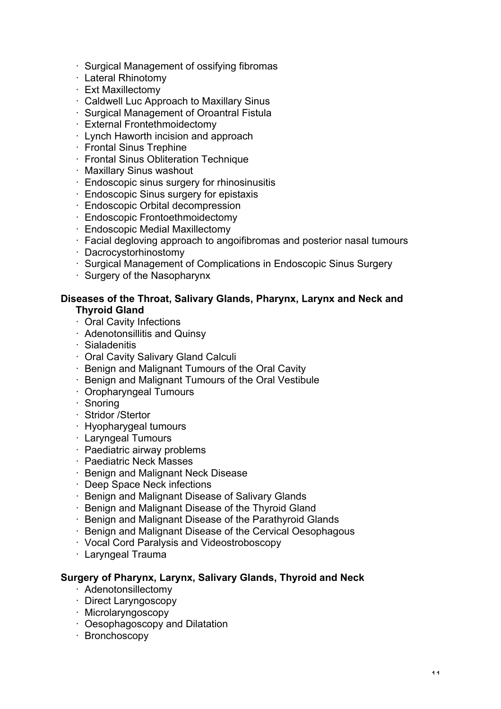- · Surgical Management of ossifying fibromas
- · Lateral Rhinotomy
- · Ext Maxillectomy
- · Caldwell Luc Approach to Maxillary Sinus
- · Surgical Management of Oroantral Fistula
- · External Frontethmoidectomy
- · Lynch Haworth incision and approach
- · Frontal Sinus Trephine
- · Frontal Sinus Obliteration Technique
- · Maxillary Sinus washout
- · Endoscopic sinus surgery for rhinosinusitis
- · Endoscopic Sinus surgery for epistaxis
- · Endoscopic Orbital decompression
- · Endoscopic Frontoethmoidectomy
- · Endoscopic Medial Maxillectomy
- · Facial degloving approach to angoifibromas and posterior nasal tumours
- · Dacrocystorhinostomy
- · Surgical Management of Complications in Endoscopic Sinus Surgery
- · Surgery of the Nasopharynx

#### **Diseases of the Throat, Salivary Glands, Pharynx, Larynx and Neck and Thyroid Gland**

- · Oral Cavity Infections
- · Adenotonsillitis and Quinsy
- · Sialadenitis
- · Oral Cavity Salivary Gland Calculi
- · Benign and Malignant Tumours of the Oral Cavity
- · Benign and Malignant Tumours of the Oral Vestibule
- · Oropharyngeal Tumours
- · Snoring
- · Stridor /Stertor
- · Hyopharygeal tumours
- · Laryngeal Tumours
- · Paediatric airway problems
- · Paediatric Neck Masses
- · Benign and Malignant Neck Disease
- · Deep Space Neck infections
- · Benign and Malignant Disease of Salivary Glands
- · Benign and Malignant Disease of the Thyroid Gland
- · Benign and Malignant Disease of the Parathyroid Glands
- · Benign and Malignant Disease of the Cervical Oesophagous
- · Vocal Cord Paralysis and Videostroboscopy
- · Laryngeal Trauma

#### **Surgery of Pharynx, Larynx, Salivary Glands, Thyroid and Neck**

- · Adenotonsillectomy
- · Direct Laryngoscopy
- · Microlaryngoscopy
- · Oesophagoscopy and Dilatation
- · Bronchoscopy